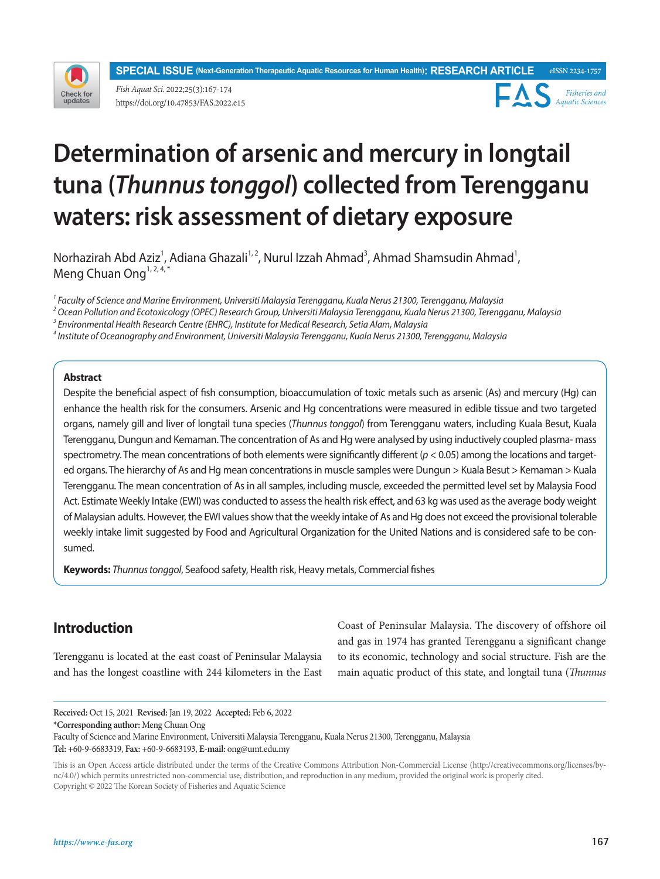**SPECIAL ISSUE (Next-Generation Therapeutic Aquatic Resources for Human Health): RESEARCH ARTICLE eISSN 2234-1757**



*Fish Aquat Sci.* 2022;25(3):167-174 https://doi.org/10.47853/FAS.2022.e15



# **Determination of arsenic and mercury in longtail tuna (***Thunnus tonggol***) collected from Terengganu waters: risk assessment of dietary exposure**

Norhazirah Abd Aziz<sup>1</sup>, Adiana Ghazali<sup>1, 2</sup>, Nurul Izzah Ahmad<sup>3</sup>, Ahmad Shamsudin Ahmad<sup>1</sup>, Meng Chuan Ong<sup>1, 2, 4,\*</sup>

*1 Faculty of Science and Marine Environment, Universiti Malaysia Terengganu, Kuala Nerus 21300, Terengganu, Malaysia*

*2 Ocean Pollution and Ecotoxicology (OPEC) Research Group, Universiti Malaysia Terengganu, Kuala Nerus 21300, Terengganu, Malaysia*

*3 Environmental Health Research Centre (EHRC), Institute for Medical Research, Setia Alam, Malaysia*

*4 Institute of Oceanography and Environment, Universiti Malaysia Terengganu, Kuala Nerus 21300, Terengganu, Malaysia*

## **Abstract**

Despite the beneficial aspect of fish consumption, bioaccumulation of toxic metals such as arsenic (As) and mercury (Hg) can enhance the health risk for the consumers. Arsenic and Hg concentrations were measured in edible tissue and two targeted organs, namely gill and liver of longtail tuna species (*Thunnus tonggol*) from Terengganu waters, including Kuala Besut, Kuala Terengganu, Dungun and Kemaman. The concentration of As and Hg were analysed by using inductively coupled plasma- mass spectrometry. The mean concentrations of both elements were significantly different (*p* < 0.05) among the locations and targeted organs. The hierarchy of As and Hg mean concentrations in muscle samples were Dungun > Kuala Besut > Kemaman > Kuala Terengganu. The mean concentration of As in all samples, including muscle, exceeded the permitted level set by Malaysia Food Act. Estimate Weekly Intake (EWI) was conducted to assess the health risk effect, and 63 kg was used as the average body weight of Malaysian adults. However, the EWI values show that the weekly intake of As and Hg does not exceed the provisional tolerable weekly intake limit suggested by Food and Agricultural Organization for the United Nations and is considered safe to be consumed.

**Keywords:** *Thunnus tonggol*, Seafood safety, Health risk, Heavy metals, Commercial fishes

# **Introduction**

Terengganu is located at the east coast of Peninsular Malaysia and has the longest coastline with 244 kilometers in the East Coast of Peninsular Malaysia. The discovery of offshore oil and gas in 1974 has granted Terengganu a significant change to its economic, technology and social structure. Fish are the main aquatic product of this state, and longtail tuna (*Thunnus* 

**Received:** Oct 15, 2021 **Revised:** Jan 19, 2022 **Accepted:** Feb 6, 2022 **\*Corresponding author:** Meng Chuan Ong Faculty of Science and Marine Environment, Universiti Malaysia Terengganu, Kuala Nerus 21300, Terengganu, Malaysia **Tel:** +60-9-6683319, **Fax:** +60-9-6683193, **E-mail:** ong@umt.edu.my

This is an Open Access article distributed under the terms of the Creative Commons Attribution Non-Commercial License (http://creativecommons.org/licenses/bync/4.0/) which permits unrestricted non-commercial use, distribution, and reproduction in any medium, provided the original work is properly cited. Copyright © 2022 The Korean Society of Fisheries and Aquatic Science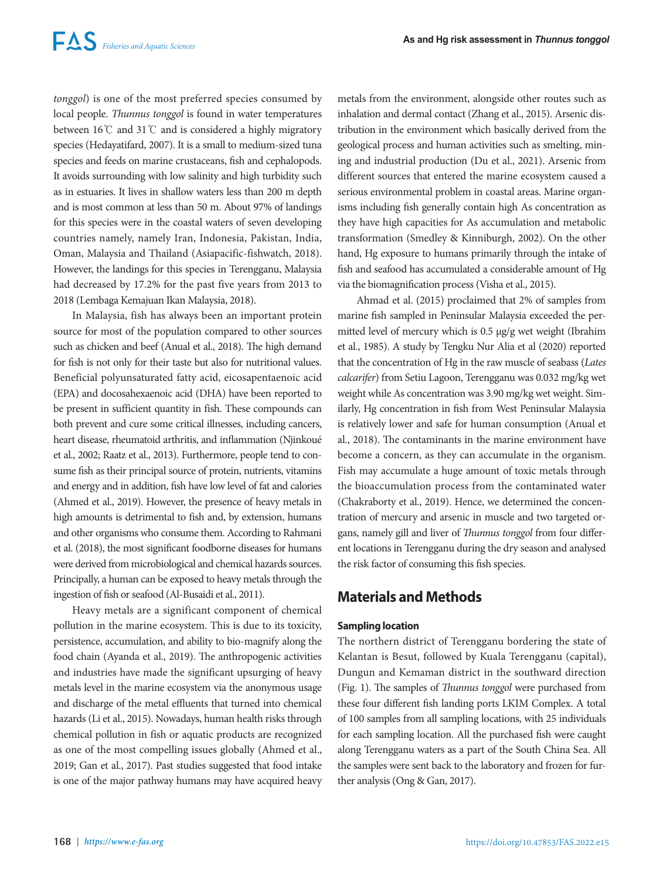*tonggol*) is one of the most preferred species consumed by local people. *Thunnus tonggol* is found in water temperatures between 16℃ and 31℃ and is considered a highly migratory species (Hedayatifard, 2007). It is a small to medium-sized tuna species and feeds on marine crustaceans, fish and cephalopods. It avoids surrounding with low salinity and high turbidity such as in estuaries. It lives in shallow waters less than 200 m depth and is most common at less than 50 m. About 97% of landings for this species were in the coastal waters of seven developing countries namely, namely Iran, Indonesia, Pakistan, India, Oman, Malaysia and Thailand (Asiapacific-fishwatch, 2018). However, the landings for this species in Terengganu, Malaysia had decreased by 17.2% for the past five years from 2013 to 2018 (Lembaga Kemajuan Ikan Malaysia, 2018).

In Malaysia, fish has always been an important protein source for most of the population compared to other sources such as chicken and beef (Anual et al., 2018). The high demand for fish is not only for their taste but also for nutritional values. Beneficial polyunsaturated fatty acid, eicosapentaenoic acid (EPA) and docosahexaenoic acid (DHA) have been reported to be present in sufficient quantity in fish. These compounds can both prevent and cure some critical illnesses, including cancers, heart disease, rheumatoid arthritis, and inflammation (Njinkoué et al., 2002; Raatz et al., 2013). Furthermore, people tend to consume fish as their principal source of protein, nutrients, vitamins and energy and in addition, fish have low level of fat and calories (Ahmed et al., 2019). However, the presence of heavy metals in high amounts is detrimental to fish and, by extension, humans and other organisms who consume them. According to Rahmani et al. (2018), the most significant foodborne diseases for humans were derived from microbiological and chemical hazards sources. Principally, a human can be exposed to heavy metals through the ingestion of fish or seafood (Al-Busaidi et al., 2011).

Heavy metals are a significant component of chemical pollution in the marine ecosystem. This is due to its toxicity, persistence, accumulation, and ability to bio-magnify along the food chain (Ayanda et al., 2019). The anthropogenic activities and industries have made the significant upsurging of heavy metals level in the marine ecosystem via the anonymous usage and discharge of the metal effluents that turned into chemical hazards (Li et al., 2015). Nowadays, human health risks through chemical pollution in fish or aquatic products are recognized as one of the most compelling issues globally (Ahmed et al., 2019; Gan et al., 2017). Past studies suggested that food intake is one of the major pathway humans may have acquired heavy metals from the environment, alongside other routes such as inhalation and dermal contact (Zhang et al., 2015). Arsenic distribution in the environment which basically derived from the geological process and human activities such as smelting, mining and industrial production (Du et al., 2021). Arsenic from different sources that entered the marine ecosystem caused a serious environmental problem in coastal areas. Marine organisms including fish generally contain high As concentration as they have high capacities for As accumulation and metabolic transformation (Smedley & Kinniburgh, 2002). On the other hand, Hg exposure to humans primarily through the intake of fish and seafood has accumulated a considerable amount of Hg via the biomagnification process (Visha et al., 2015).

Ahmad et al. (2015) proclaimed that 2% of samples from marine fish sampled in Peninsular Malaysia exceeded the permitted level of mercury which is 0.5 µg/g wet weight (Ibrahim et al., 1985). A study by Tengku Nur Alia et al (2020) reported that the concentration of Hg in the raw muscle of seabass (*Lates calcarifer*) from Setiu Lagoon, Terengganu was 0.032 mg/kg wet weight while As concentration was 3.90 mg/kg wet weight. Similarly, Hg concentration in fish from West Peninsular Malaysia is relatively lower and safe for human consumption (Anual et al., 2018). The contaminants in the marine environment have become a concern, as they can accumulate in the organism. Fish may accumulate a huge amount of toxic metals through the bioaccumulation process from the contaminated water (Chakraborty et al., 2019). Hence, we determined the concentration of mercury and arsenic in muscle and two targeted organs, namely gill and liver of *Thunnus tonggol* from four different locations in Terengganu during the dry season and analysed the risk factor of consuming this fish species.

# **Materials and Methods**

## **Sampling location**

The northern district of Terengganu bordering the state of Kelantan is Besut, followed by Kuala Terengganu (capital), Dungun and Kemaman district in the southward direction (Fig. 1). The samples of *Thunnus tonggol* were purchased from these four different fish landing ports LKIM Complex. A total of 100 samples from all sampling locations, with 25 individuals for each sampling location. All the purchased fish were caught along Terengganu waters as a part of the South China Sea. All the samples were sent back to the laboratory and frozen for further analysis (Ong & Gan, 2017).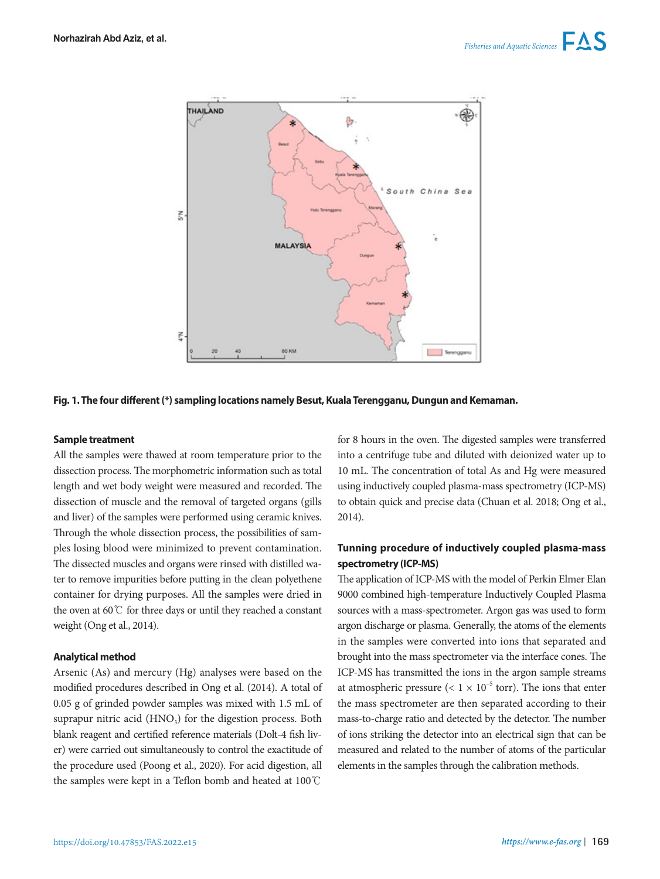

#### **Fig. 1. The four different (\*) sampling locations namely Besut, Kuala Terengganu, Dungun and Kemaman.**

### **Sample treatment**

All the samples were thawed at room temperature prior to the dissection process. The morphometric information such as total length and wet body weight were measured and recorded. The dissection of muscle and the removal of targeted organs (gills and liver) of the samples were performed using ceramic knives. Through the whole dissection process, the possibilities of samples losing blood were minimized to prevent contamination. The dissected muscles and organs were rinsed with distilled water to remove impurities before putting in the clean polyethene container for drying purposes. All the samples were dried in the oven at 60℃ for three days or until they reached a constant weight (Ong et al., 2014).

#### **Analytical method**

Arsenic (As) and mercury (Hg) analyses were based on the modified procedures described in Ong et al. (2014). A total of 0.05 g of grinded powder samples was mixed with 1.5 mL of suprapur nitric acid  $(HNO<sub>3</sub>)$  for the digestion process. Both blank reagent and certified reference materials (Dolt-4 fish liver) were carried out simultaneously to control the exactitude of the procedure used (Poong et al., 2020). For acid digestion, all the samples were kept in a Teflon bomb and heated at 100℃

for 8 hours in the oven. The digested samples were transferred into a centrifuge tube and diluted with deionized water up to 10 mL. The concentration of total As and Hg were measured using inductively coupled plasma-mass spectrometry (ICP-MS) to obtain quick and precise data (Chuan et al. 2018; Ong et al., 2014).

## **Tunning procedure of inductively coupled plasma-mass spectrometry (ICP-MS)**

The application of ICP-MS with the model of Perkin Elmer Elan 9000 combined high-temperature Inductively Coupled Plasma sources with a mass-spectrometer. Argon gas was used to form argon discharge or plasma. Generally, the atoms of the elements in the samples were converted into ions that separated and brought into the mass spectrometer via the interface cones. The ICP-MS has transmitted the ions in the argon sample streams at atmospheric pressure  $(< 1 \times 10^{-5}$  torr). The ions that enter the mass spectrometer are then separated according to their mass-to-charge ratio and detected by the detector. The number of ions striking the detector into an electrical sign that can be measured and related to the number of atoms of the particular elements in the samples through the calibration methods.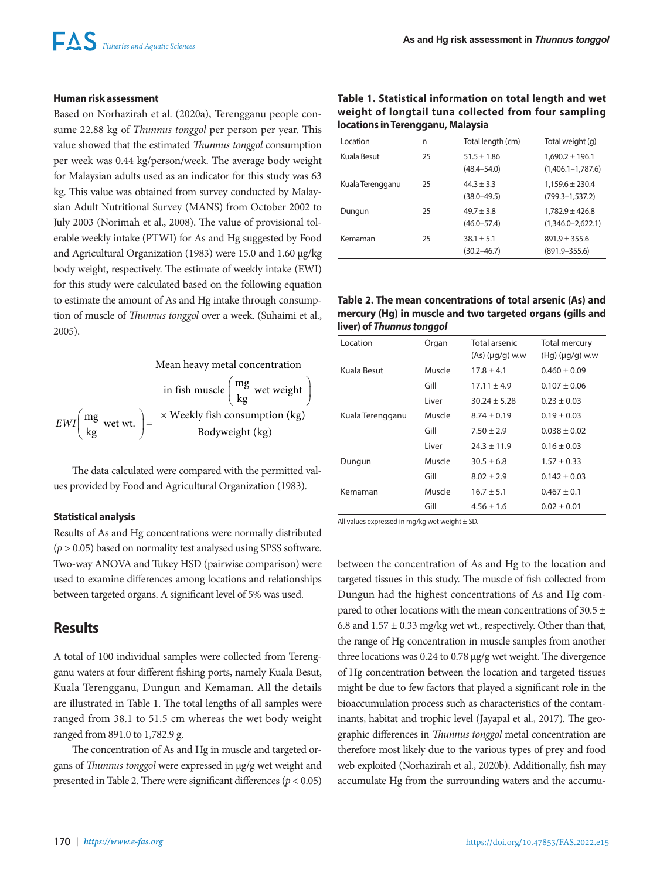## **Human risk assessment**

Based on Norhazirah et al. (2020a), Terengganu people consume 22.88 kg of *Thunnus tonggol* per person per year. This value showed that the estimated *Thunnus tonggol* consumption per week was 0.44 kg/person/week. The average body weight for Malaysian adults used as an indicator for this study was 63 kg. This value was obtained from survey conducted by Malaysian Adult Nutritional Survey (MANS) from October 2002 to July 2003 (Norimah et al., 2008). The value of provisional tolerable weekly intake (PTWI) for As and Hg suggested by Food and Agricultural Organization (1983) were 15.0 and 1.60 µg/kg body weight, respectively. The estimate of weekly intake (EWI) for this study were calculated based on the following equation to estimate the amount of As and Hg intake through consumption of muscle of *Thunnus tonggol* over a week. (Suhaimi et al., 2005).



The data calculated were compared with the permitted values provided by Food and Agricultural Organization (1983).

## **Statistical analysis**

Results of As and Hg concentrations were normally distributed (*p* > 0.05) based on normality test analysed using SPSS software. Two-way ANOVA and Tukey HSD (pairwise comparison) were used to examine differences among locations and relationships between targeted organs. A significant level of 5% was used.

# **Results**

A total of 100 individual samples were collected from Terengganu waters at four different fishing ports, namely Kuala Besut, Kuala Terengganu, Dungun and Kemaman. All the details are illustrated in Table 1. The total lengths of all samples were ranged from 38.1 to 51.5 cm whereas the wet body weight ranged from 891.0 to 1,782.9 g.

The concentration of As and Hg in muscle and targeted organs of *Thunnus tonggol* were expressed in µg/g wet weight and presented in Table 2. There were significant differences (*p* < 0.05)

| Table 1. Statistical information on total length and wet |
|----------------------------------------------------------|
| weight of longtail tuna collected from four sampling     |
| locations in Terengganu, Malaysia                        |

| Location         | n  | Total length (cm)                  | Total weight (g)                             |
|------------------|----|------------------------------------|----------------------------------------------|
| Kuala Besut      | 25 | $51.5 \pm 1.86$<br>$(48.4 - 54.0)$ | $1,690.2 \pm 196.1$<br>$(1,406.1 - 1,787.6)$ |
| Kuala Terengganu | 25 | $44.3 \pm 3.3$<br>$(38.0 - 49.5)$  | $1,159.6 \pm 230.4$<br>$(799.3 - 1, 537.2)$  |
| Dungun           | 25 | $49.7 \pm 3.8$<br>$(46.0 - 57.4)$  | $1,782.9 \pm 426.8$<br>$(1,346.0 - 2,622.1)$ |
| Kemaman          | 25 | $38.1 \pm 5.1$<br>$(30.2 - 46.7)$  | $891.9 \pm 355.6$<br>$(891.9 - 355.6)$       |

## **Table 2. The mean concentrations of total arsenic (As) and mercury (Hg) in muscle and two targeted organs (gills and liver) of** *Thunnus tonggol*

| Location         | Organ  | Total arsenic<br>$(As)$ ( $\mu q/q$ ) w.w | Total mercury<br>$(Hg)(\mu g/g)$ w.w |
|------------------|--------|-------------------------------------------|--------------------------------------|
| Kuala Besut      | Muscle | $17.8 \pm 4.1$                            | $0.460 \pm 0.09$                     |
|                  | Gill   | $17.11 \pm 4.9$                           | $0.107 \pm 0.06$                     |
|                  | I iver | $30.24 + 5.28$                            | $0.23 \pm 0.03$                      |
| Kuala Terengganu | Muscle | $8.74 \pm 0.19$                           | $0.19 \pm 0.03$                      |
|                  | Gill   | $7.50 \pm 2.9$                            | $0.038 \pm 0.02$                     |
|                  | Liver  | $24.3 \pm 11.9$                           | $0.16 \pm 0.03$                      |
| Dungun           | Muscle | $30.5 \pm 6.8$                            | $1.57 \pm 0.33$                      |
|                  | Gill   | $8.02 \pm 2.9$                            | $0.142 \pm 0.03$                     |
| Kemaman          | Muscle | $16.7 \pm 5.1$                            | $0.467 \pm 0.1$                      |
|                  | Gill   | $4.56 \pm 1.6$                            | $0.02 \pm 0.01$                      |

All values expressed in mg/kg wet weight  $\pm$  SD.

between the concentration of As and Hg to the location and targeted tissues in this study. The muscle of fish collected from Dungun had the highest concentrations of As and Hg compared to other locations with the mean concentrations of 30.5 ± 6.8 and  $1.57 \pm 0.33$  mg/kg wet wt., respectively. Other than that, the range of Hg concentration in muscle samples from another three locations was 0.24 to 0.78 µg/g wet weight. The divergence of Hg concentration between the location and targeted tissues might be due to few factors that played a significant role in the bioaccumulation process such as characteristics of the contaminants, habitat and trophic level (Jayapal et al., 2017). The geographic differences in *Thunnus tonggol* metal concentration are therefore most likely due to the various types of prey and food web exploited (Norhazirah et al., 2020b). Additionally, fish may accumulate Hg from the surrounding waters and the accumu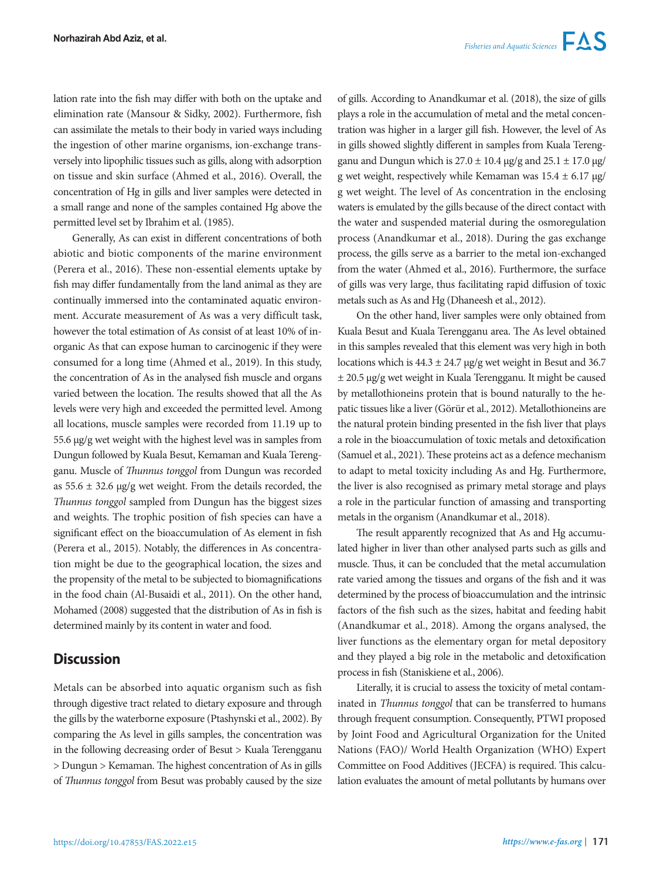lation rate into the fish may differ with both on the uptake and elimination rate (Mansour & Sidky, 2002). Furthermore, fish can assimilate the metals to their body in varied ways including the ingestion of other marine organisms, ion-exchange transversely into lipophilic tissues such as gills, along with adsorption on tissue and skin surface (Ahmed et al., 2016). Overall, the concentration of Hg in gills and liver samples were detected in a small range and none of the samples contained Hg above the permitted level set by Ibrahim et al. (1985).

Generally, As can exist in different concentrations of both abiotic and biotic components of the marine environment (Perera et al., 2016). These non-essential elements uptake by fish may differ fundamentally from the land animal as they are continually immersed into the contaminated aquatic environment. Accurate measurement of As was a very difficult task, however the total estimation of As consist of at least 10% of inorganic As that can expose human to carcinogenic if they were consumed for a long time (Ahmed et al., 2019). In this study, the concentration of As in the analysed fish muscle and organs varied between the location. The results showed that all the As levels were very high and exceeded the permitted level. Among all locations, muscle samples were recorded from 11.19 up to 55.6 µg/g wet weight with the highest level was in samples from Dungun followed by Kuala Besut, Kemaman and Kuala Terengganu. Muscle of *Thunnus tonggol* from Dungun was recorded as  $55.6 \pm 32.6$  µg/g wet weight. From the details recorded, the *Thunnus tonggol* sampled from Dungun has the biggest sizes and weights. The trophic position of fish species can have a significant effect on the bioaccumulation of As element in fish (Perera et al., 2015). Notably, the differences in As concentration might be due to the geographical location, the sizes and the propensity of the metal to be subjected to biomagnifications in the food chain (Al-Busaidi et al., 2011). On the other hand, Mohamed (2008) suggested that the distribution of As in fish is determined mainly by its content in water and food.

# **Discussion**

Metals can be absorbed into aquatic organism such as fish through digestive tract related to dietary exposure and through the gills by the waterborne exposure (Ptashynski et al., 2002). By comparing the As level in gills samples, the concentration was in the following decreasing order of Besut > Kuala Terengganu > Dungun > Kemaman. The highest concentration of As in gills of *Thunnus tonggol* from Besut was probably caused by the size

of gills. According to Anandkumar et al. (2018), the size of gills plays a role in the accumulation of metal and the metal concentration was higher in a larger gill fish. However, the level of As in gills showed slightly different in samples from Kuala Terengganu and Dungun which is  $27.0 \pm 10.4$  µg/g and  $25.1 \pm 17.0$  µg/ g wet weight, respectively while Kemaman was  $15.4 \pm 6.17$  µg/ g wet weight. The level of As concentration in the enclosing waters is emulated by the gills because of the direct contact with the water and suspended material during the osmoregulation process (Anandkumar et al., 2018). During the gas exchange process, the gills serve as a barrier to the metal ion-exchanged from the water (Ahmed et al., 2016). Furthermore, the surface of gills was very large, thus facilitating rapid diffusion of toxic metals such as As and Hg (Dhaneesh et al., 2012).

On the other hand, liver samples were only obtained from Kuala Besut and Kuala Terengganu area. The As level obtained in this samples revealed that this element was very high in both locations which is  $44.3 \pm 24.7$  µg/g wet weight in Besut and 36.7 ± 20.5 µg/g wet weight in Kuala Terengganu. It might be caused by metallothioneins protein that is bound naturally to the hepatic tissues like a liver (Görür et al., 2012). Metallothioneins are the natural protein binding presented in the fish liver that plays a role in the bioaccumulation of toxic metals and detoxification (Samuel et al., 2021). These proteins act as a defence mechanism to adapt to metal toxicity including As and Hg. Furthermore, the liver is also recognised as primary metal storage and plays a role in the particular function of amassing and transporting metals in the organism (Anandkumar et al., 2018).

The result apparently recognized that As and Hg accumulated higher in liver than other analysed parts such as gills and muscle. Thus, it can be concluded that the metal accumulation rate varied among the tissues and organs of the fish and it was determined by the process of bioaccumulation and the intrinsic factors of the fish such as the sizes, habitat and feeding habit (Anandkumar et al., 2018). Among the organs analysed, the liver functions as the elementary organ for metal depository and they played a big role in the metabolic and detoxification process in fish (Staniskiene et al., 2006).

Literally, it is crucial to assess the toxicity of metal contaminated in *Thunnus tonggol* that can be transferred to humans through frequent consumption. Consequently, PTWI proposed by Joint Food and Agricultural Organization for the United Nations (FAO)/ World Health Organization (WHO) Expert Committee on Food Additives (JECFA) is required. This calculation evaluates the amount of metal pollutants by humans over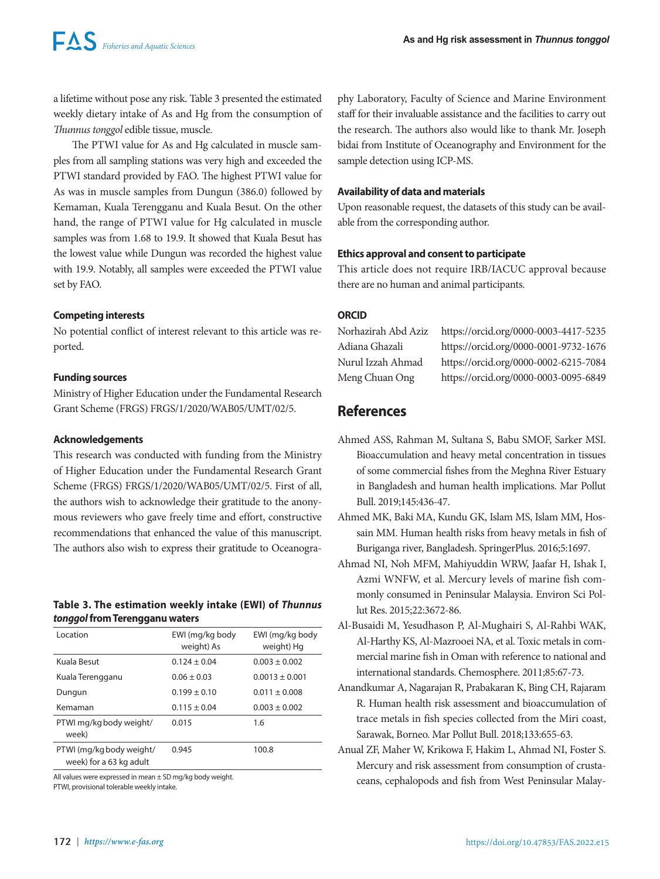a lifetime without pose any risk. Table 3 presented the estimated weekly dietary intake of As and Hg from the consumption of *Thunnus tonggol* edible tissue, muscle.

The PTWI value for As and Hg calculated in muscle samples from all sampling stations was very high and exceeded the PTWI standard provided by FAO. The highest PTWI value for As was in muscle samples from Dungun (386.0) followed by Kemaman, Kuala Terengganu and Kuala Besut. On the other hand, the range of PTWI value for Hg calculated in muscle samples was from 1.68 to 19.9. It showed that Kuala Besut has the lowest value while Dungun was recorded the highest value with 19.9. Notably, all samples were exceeded the PTWI value set by FAO.

## **Competing interests**

No potential conflict of interest relevant to this article was reported.

## **Funding sources**

Ministry of Higher Education under the Fundamental Research Grant Scheme (FRGS) FRGS/1/2020/WAB05/UMT/02/5.

### **Acknowledgements**

This research was conducted with funding from the Ministry of Higher Education under the Fundamental Research Grant Scheme (FRGS) FRGS/1/2020/WAB05/UMT/02/5. First of all, the authors wish to acknowledge their gratitude to the anonymous reviewers who gave freely time and effort, constructive recommendations that enhanced the value of this manuscript. The authors also wish to express their gratitude to Oceanogra-

## **Table 3. The estimation weekly intake (EWI) of** *Thunnus tonggol* **from Terengganu waters**

| <b>Location</b>                                     | EWI (mg/kg body<br>weight) As | EWI (mg/kg body<br>weight) Hg |
|-----------------------------------------------------|-------------------------------|-------------------------------|
| Kuala Besut                                         | $0.124 + 0.04$                | $0.003 + 0.002$               |
| Kuala Terengganu                                    | $0.06 \pm 0.03$               | $0.0013 \pm 0.001$            |
| Dungun                                              | $0.199 \pm 0.10$              | $0.011 \pm 0.008$             |
| Kemaman                                             | $0.115 \pm 0.04$              | $0.003 \pm 0.002$             |
| PTWI mg/kg body weight/<br>week)                    | 0.015                         | 1.6                           |
| PTWI (mg/kg body weight/<br>week) for a 63 kg adult | 0.945                         | 100.8                         |
|                                                     |                               |                               |

All values were expressed in mean ± SD mg/kg body weight. PTWI, provisional tolerable weekly intake.

phy Laboratory, Faculty of Science and Marine Environment staff for their invaluable assistance and the facilities to carry out the research. The authors also would like to thank Mr. Joseph bidai from Institute of Oceanography and Environment for the sample detection using ICP-MS.

## **Availability of data and materials**

Upon reasonable request, the datasets of this study can be available from the corresponding author.

## **Ethics approval and consent to participate**

This article does not require IRB/IACUC approval because there are no human and animal participants.

## **ORCID**

Norhazirah Abd Aziz https://orcid.org/0000-0003-4417-5235 Adiana Ghazali https://orcid.org/0000-0001-9732-1676 Nurul Izzah Ahmad https://orcid.org/0000-0002-6215-7084 Meng Chuan Ong https://orcid.org/0000-0003-0095-6849

# **References**

- Ahmed ASS, Rahman M, Sultana S, Babu SMOF, Sarker MSI. Bioaccumulation and heavy metal concentration in tissues of some commercial fishes from the Meghna River Estuary in Bangladesh and human health implications. Mar Pollut Bull. 2019;145:436-47.
- Ahmed MK, Baki MA, Kundu GK, Islam MS, Islam MM, Hossain MM. Human health risks from heavy metals in fish of Buriganga river, Bangladesh. SpringerPlus. 2016;5:1697.
- Ahmad NI, Noh MFM, Mahiyuddin WRW, Jaafar H, Ishak I, Azmi WNFW, et al. Mercury levels of marine fish commonly consumed in Peninsular Malaysia. Environ Sci Pollut Res. 2015;22:3672-86.
- Al-Busaidi M, Yesudhason P, Al-Mughairi S, Al-Rahbi WAK, Al-Harthy KS, Al-Mazrooei NA, et al. Toxic metals in commercial marine fish in Oman with reference to national and international standards. Chemosphere. 2011;85:67-73.
- Anandkumar A, Nagarajan R, Prabakaran K, Bing CH, Rajaram R. Human health risk assessment and bioaccumulation of trace metals in fish species collected from the Miri coast, Sarawak, Borneo. Mar Pollut Bull. 2018;133:655-63.
- Anual ZF, Maher W, Krikowa F, Hakim L, Ahmad NI, Foster S. Mercury and risk assessment from consumption of crustaceans, cephalopods and fish from West Peninsular Malay-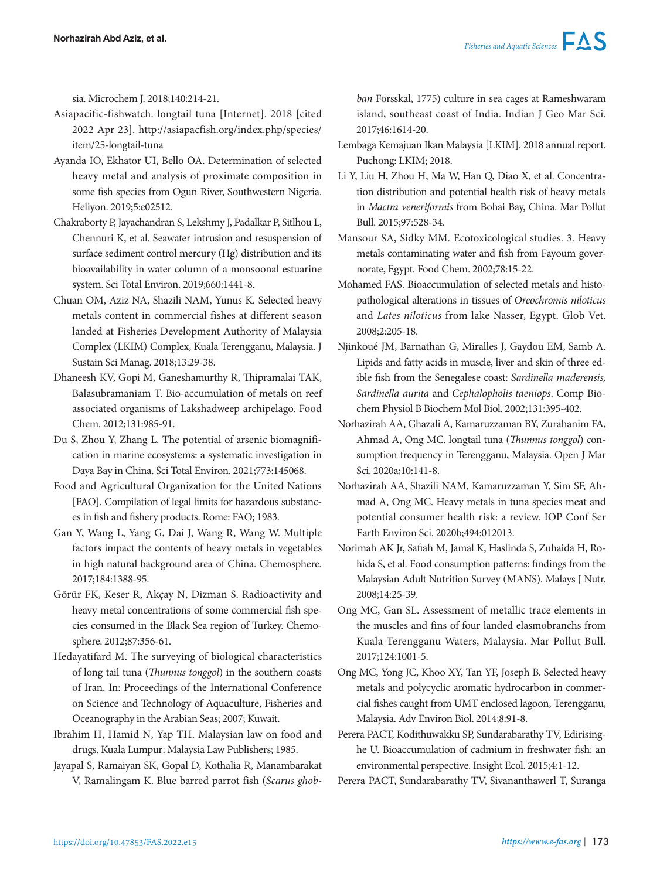sia. Microchem J. 2018;140:214-21.

- Asiapacific-fishwatch. longtail tuna [Internet]. 2018 [cited 2022 Apr 23]. http://asiapacfish.org/index.php/species/ item/25-longtail-tuna
- Ayanda IO, Ekhator UI, Bello OA. Determination of selected heavy metal and analysis of proximate composition in some fish species from Ogun River, Southwestern Nigeria. Heliyon. 2019;5:e02512.
- Chakraborty P, Jayachandran S, Lekshmy J, Padalkar P, Sitlhou L, Chennuri K, et al. Seawater intrusion and resuspension of surface sediment control mercury (Hg) distribution and its bioavailability in water column of a monsoonal estuarine system. Sci Total Environ. 2019;660:1441-8.
- Chuan OM, Aziz NA, Shazili NAM, Yunus K. Selected heavy metals content in commercial fishes at different season landed at Fisheries Development Authority of Malaysia Complex (LKIM) Complex, Kuala Terengganu, Malaysia. J Sustain Sci Manag. 2018;13:29-38.
- Dhaneesh KV, Gopi M, Ganeshamurthy R, Thipramalai TAK, Balasubramaniam T. Bio-accumulation of metals on reef associated organisms of Lakshadweep archipelago. Food Chem. 2012;131:985-91.
- Du S, Zhou Y, Zhang L. The potential of arsenic biomagnification in marine ecosystems: a systematic investigation in Daya Bay in China. Sci Total Environ. 2021;773:145068.
- Food and Agricultural Organization for the United Nations [FAO]. Compilation of legal limits for hazardous substances in fish and fishery products. Rome: FAO; 1983.
- Gan Y, Wang L, Yang G, Dai J, Wang R, Wang W. Multiple factors impact the contents of heavy metals in vegetables in high natural background area of China. Chemosphere. 2017;184:1388-95.
- Görür FK, Keser R, Akçay N, Dizman S. Radioactivity and heavy metal concentrations of some commercial fish species consumed in the Black Sea region of Turkey. Chemosphere. 2012;87:356-61.
- Hedayatifard M. The surveying of biological characteristics of long tail tuna (*Thunnus tonggol*) in the southern coasts of Iran. In: Proceedings of the International Conference on Science and Technology of Aquaculture, Fisheries and Oceanography in the Arabian Seas; 2007; Kuwait.
- Ibrahim H, Hamid N, Yap TH. Malaysian law on food and drugs. Kuala Lumpur: Malaysia Law Publishers; 1985.
- Jayapal S, Ramaiyan SK, Gopal D, Kothalia R, Manambarakat V, Ramalingam K. Blue barred parrot fish (*Scarus ghob-*

*ban* Forsskal, 1775) culture in sea cages at Rameshwaram island, southeast coast of India. Indian J Geo Mar Sci. 2017;46:1614-20.

- Lembaga Kemajuan Ikan Malaysia [LKIM]. 2018 annual report. Puchong: LKIM; 2018.
- Li Y, Liu H, Zhou H, Ma W, Han Q, Diao X, et al. Concentration distribution and potential health risk of heavy metals in *Mactra veneriformis* from Bohai Bay, China. Mar Pollut Bull. 2015;97:528-34.
- Mansour SA, Sidky MM. Ecotoxicological studies. 3. Heavy metals contaminating water and fish from Fayoum governorate, Egypt. Food Chem. 2002;78:15-22.
- Mohamed FAS. Bioaccumulation of selected metals and histopathological alterations in tissues of *Oreochromis niloticus* and *Lates niloticus* from lake Nasser, Egypt. Glob Vet. 2008;2:205-18.
- Njinkoué JM, Barnathan G, Miralles J, Gaydou EM, Samb A. Lipids and fatty acids in muscle, liver and skin of three edible fish from the Senegalese coast: *Sardinella maderensis, Sardinella aurita* and *Cephalopholis taeniops*. Comp Biochem Physiol B Biochem Mol Biol. 2002;131:395-402.
- Norhazirah AA, Ghazali A, Kamaruzzaman BY, Zurahanim FA, Ahmad A, Ong MC. longtail tuna (*Thunnus tonggol*) consumption frequency in Terengganu, Malaysia. Open J Mar Sci. 2020a;10:141-8.
- Norhazirah AA, Shazili NAM, Kamaruzzaman Y, Sim SF, Ahmad A, Ong MC. Heavy metals in tuna species meat and potential consumer health risk: a review. IOP Conf Ser Earth Environ Sci. 2020b;494:012013.
- Norimah AK Jr, Safiah M, Jamal K, Haslinda S, Zuhaida H, Rohida S, et al. Food consumption patterns: findings from the Malaysian Adult Nutrition Survey (MANS). Malays J Nutr. 2008;14:25-39.
- Ong MC, Gan SL. Assessment of metallic trace elements in the muscles and fins of four landed elasmobranchs from Kuala Terengganu Waters, Malaysia. Mar Pollut Bull. 2017;124:1001-5.
- Ong MC, Yong JC, Khoo XY, Tan YF, Joseph B. Selected heavy metals and polycyclic aromatic hydrocarbon in commercial fishes caught from UMT enclosed lagoon, Terengganu, Malaysia. Adv Environ Biol. 2014;8:91-8.
- Perera PACT, Kodithuwakku SP, Sundarabarathy TV, Edirisinghe U. Bioaccumulation of cadmium in freshwater fish: an environmental perspective. Insight Ecol. 2015;4:1-12.
- Perera PACT, Sundarabarathy TV, Sivananthawerl T, Suranga